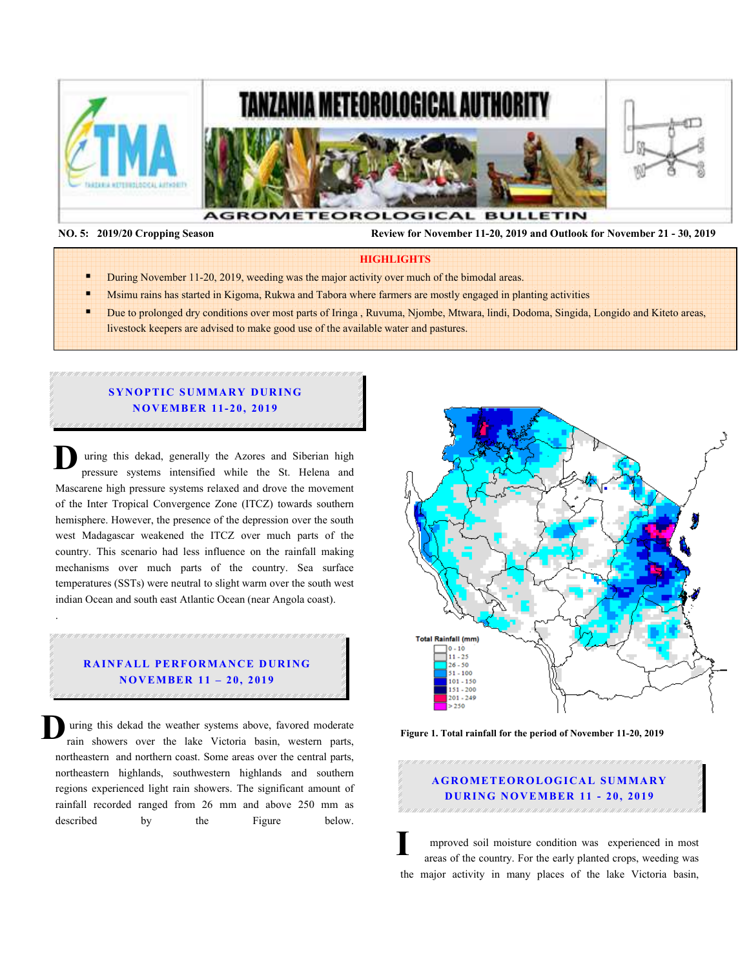

.

 **NO. 5: 2019/20 Cropping Season Review for November 11-20, 2019 and Outlook for November 21 - 30, 2019** 

#### **HIGHLIGHTS**

- During November 11-20, 2019, weeding was the major activity over much of the bimodal areas.
- Msimu rains has started in Kigoma, Rukwa and Tabora where farmers are mostly engaged in planting activities
- Due to prolonged dry conditions over most parts of Iringa , Ruvuma, Njombe, Mtwara, lindi, Dodoma, Singida, Longido and Kiteto areas, livestock keepers are advised to make good use of the available water and pastures.

#### **SYNOPTIC SUMMARY DURING N O V EM BER 11- 20, 2019**

 uring this dekad, generally the Azores and Siberian high pressure systems intensified while the St. Helena and Mascarene high pressure systems relaxed and drove the movement of the Inter Tropical Convergence Zone (ITCZ) towards southern hemisphere. However, the presence of the depression over the south west Madagascar weakened the ITCZ over much parts of the country. This scenario had less influence on the rainfall making mechanisms over much parts of the country. Sea surface temperatures (SSTs) were neutral to slight warm over the south west indian Ocean and south east Atlantic Ocean (near Angola coast). **D**

## **RAINFALL PERFORMANCE DURING N O V EM BER 11 – 20, 2019**

 uring this dekad the weather systems above, favored moderate rain showers over the lake Victoria basin, western parts, northeastern and northern coast. Some areas over the central parts, northeastern highlands, southwestern highlands and southern regions experienced light rain showers. The significant amount of rainfall recorded ranged from 26 mm and above 250 mm as described by the Figure below. **D**



**Figure 1. Total rainfall for the period of November 11-20, 2019** 

# **A G RO M ETEO R O LOG ICA L SU M MA RY DURING NOVEMBER 11 - 20, 2019**

 mproved soil moisture condition was experienced in most areas of the country. For the early planted crops, weeding was the major activity in many places of the lake Victoria basin, **I**